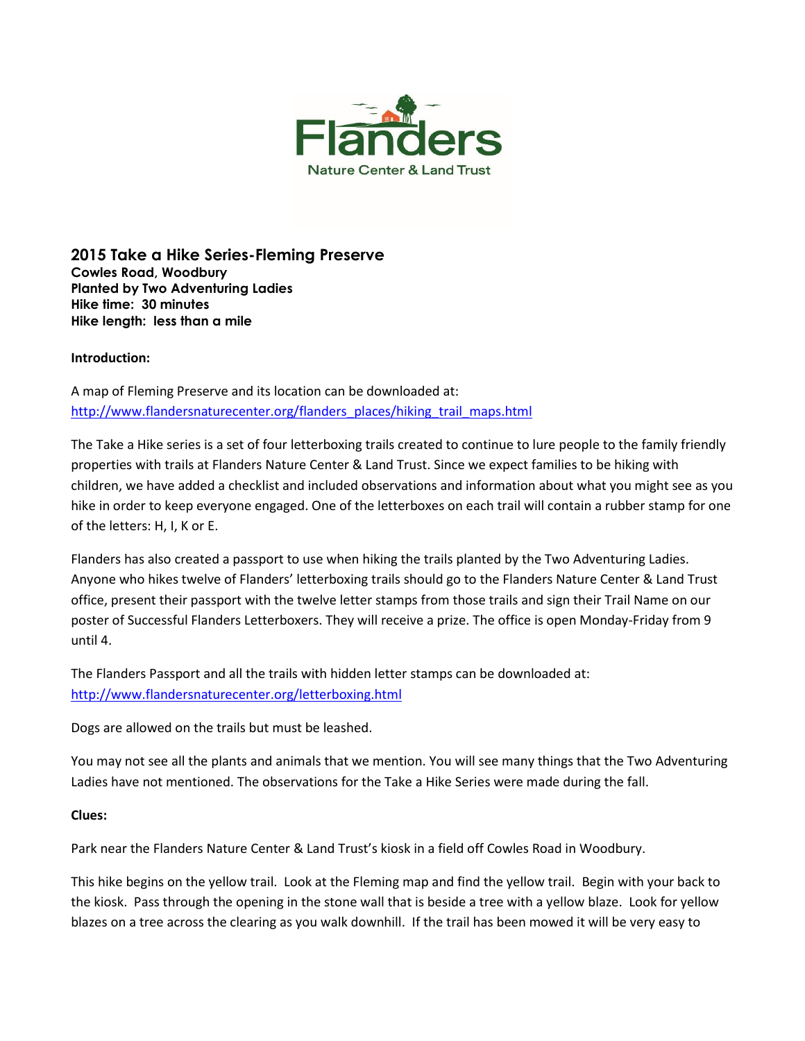

**2015 Take a Hike Series-Fleming Preserve Cowles Road, Woodbury Planted by Two Adventuring Ladies Hike time: 30 minutes Hike length: less than a mile**

## **Introduction:**

A map of Fleming Preserve and its location can be downloaded at: [http://www.flandersnaturecenter.org/flanders\\_places/hiking\\_trail\\_maps.html](http://flandersnaturecenter.org/wp-content/uploads/2016/09/fleming_preserve.pdf)

The Take a Hike series is a set of four letterboxing trails created to continue to lure people to the family friendly properties with trails at Flanders Nature Center & Land Trust. Since we expect families to be hiking with children, we have added a checklist and included observations and information about what you might see as you hike in order to keep everyone engaged. One of the letterboxes on each trail will contain a rubber stamp for one of the letters: H, I, K or E.

Flanders has also created a passport to use when hiking the trails planted by the Two Adventuring Ladies. Anyone who hikes twelve of Flanders' letterboxing trails should go to the Flanders Nature Center & Land Trust office, present their passport with the twelve letter stamps from those trails and sign their Trail Name on our poster of Successful Flanders Letterboxers. They will receive a prize. The office is open Monday-Friday from 9 until 4.

The Flanders Passport and all the trails with hidden letter stamps can be downloaded at: [http://www.flandersnaturecenter.org/letterboxing.html](http://flandersnaturecenter.org/letterboxing/)

Dogs are allowed on the trails but must be leashed.

You may not see all the plants and animals that we mention. You will see many things that the Two Adventuring Ladies have not mentioned. The observations for the Take a Hike Series were made during the fall.

## **Clues:**

Park near the Flanders Nature Center & Land Trust's kiosk in a field off Cowles Road in Woodbury.

This hike begins on the yellow trail. Look at the Fleming map and find the yellow trail. Begin with your back to the kiosk. Pass through the opening in the stone wall that is beside a tree with a yellow blaze. Look for yellow blazes on a tree across the clearing as you walk downhill. If the trail has been mowed it will be very easy to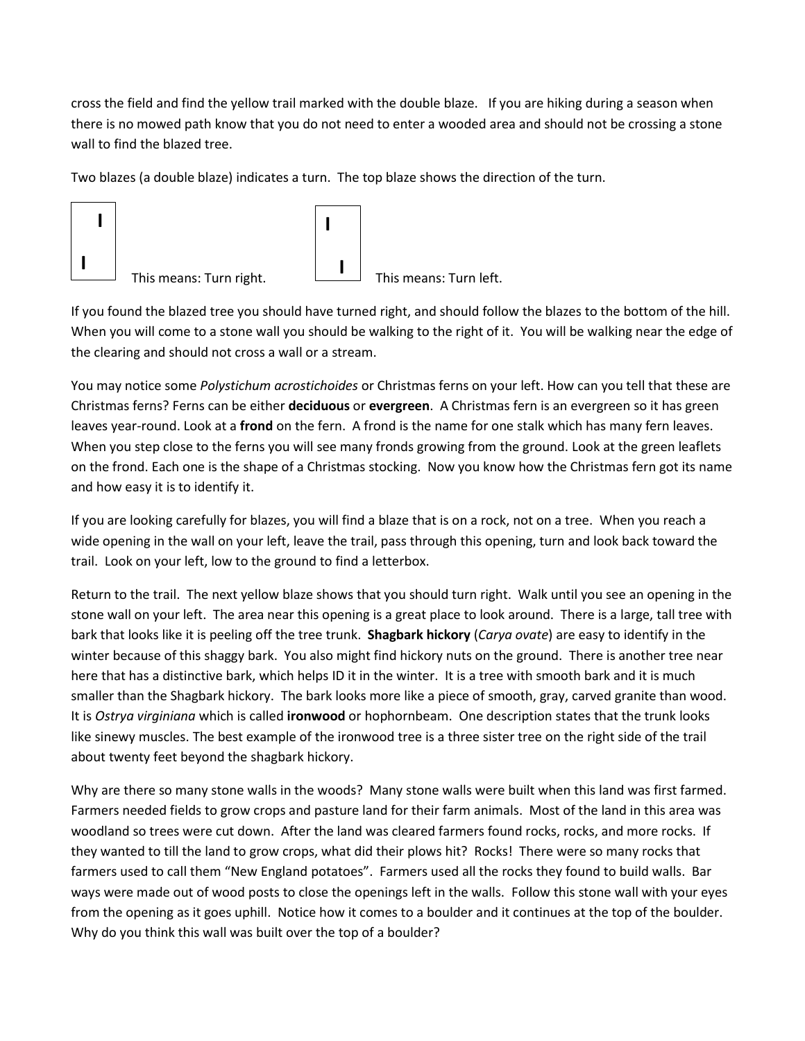cross the field and find the yellow trail marked with the double blaze. If you are hiking during a season when there is no mowed path know that you do not need to enter a wooded area and should not be crossing a stone wall to find the blazed tree.

Two blazes (a double blaze) indicates a turn. The top blaze shows the direction of the turn.



If you found the blazed tree you should have turned right, and should follow the blazes to the bottom of the hill. When you will come to a stone wall you should be walking to the right of it. You will be walking near the edge of the clearing and should not cross a wall or a stream.

You may notice some *Polystichum acrostichoides* or Christmas ferns on your left. How can you tell that these are Christmas ferns? Ferns can be either **deciduous** or **evergreen**. A Christmas fern is an evergreen so it has green leaves year-round. Look at a **frond** on the fern. A frond is the name for one stalk which has many fern leaves. When you step close to the ferns you will see many fronds growing from the ground. Look at the green leaflets on the frond. Each one is the shape of a Christmas stocking. Now you know how the Christmas fern got its name and how easy it is to identify it.

If you are looking carefully for blazes, you will find a blaze that is on a rock, not on a tree. When you reach a wide opening in the wall on your left, leave the trail, pass through this opening, turn and look back toward the trail. Look on your left, low to the ground to find a letterbox.

Return to the trail. The next yellow blaze shows that you should turn right. Walk until you see an opening in the stone wall on your left. The area near this opening is a great place to look around. There is a large, tall tree with bark that looks like it is peeling off the tree trunk. **Shagbark hickory** (*Carya ovate*) are easy to identify in the winter because of this shaggy bark. You also might find hickory nuts on the ground. There is another tree near here that has a distinctive bark, which helps ID it in the winter. It is a tree with smooth bark and it is much smaller than the Shagbark hickory. The bark looks more like a piece of smooth, gray, carved granite than wood. It is *Ostrya virginiana* which is called **ironwood** or hophornbeam. One description states that the trunk looks like sinewy muscles. The best example of the ironwood tree is a three sister tree on the right side of the trail about twenty feet beyond the shagbark hickory.

Why are there so many stone walls in the woods? Many stone walls were built when this land was first farmed. Farmers needed fields to grow crops and pasture land for their farm animals. Most of the land in this area was woodland so trees were cut down. After the land was cleared farmers found rocks, rocks, and more rocks. If they wanted to till the land to grow crops, what did their plows hit? Rocks! There were so many rocks that farmers used to call them "New England potatoes". Farmers used all the rocks they found to build walls. Bar ways were made out of wood posts to close the openings left in the walls. Follow this stone wall with your eyes from the opening as it goes uphill. Notice how it comes to a boulder and it continues at the top of the boulder. Why do you think this wall was built over the top of a boulder?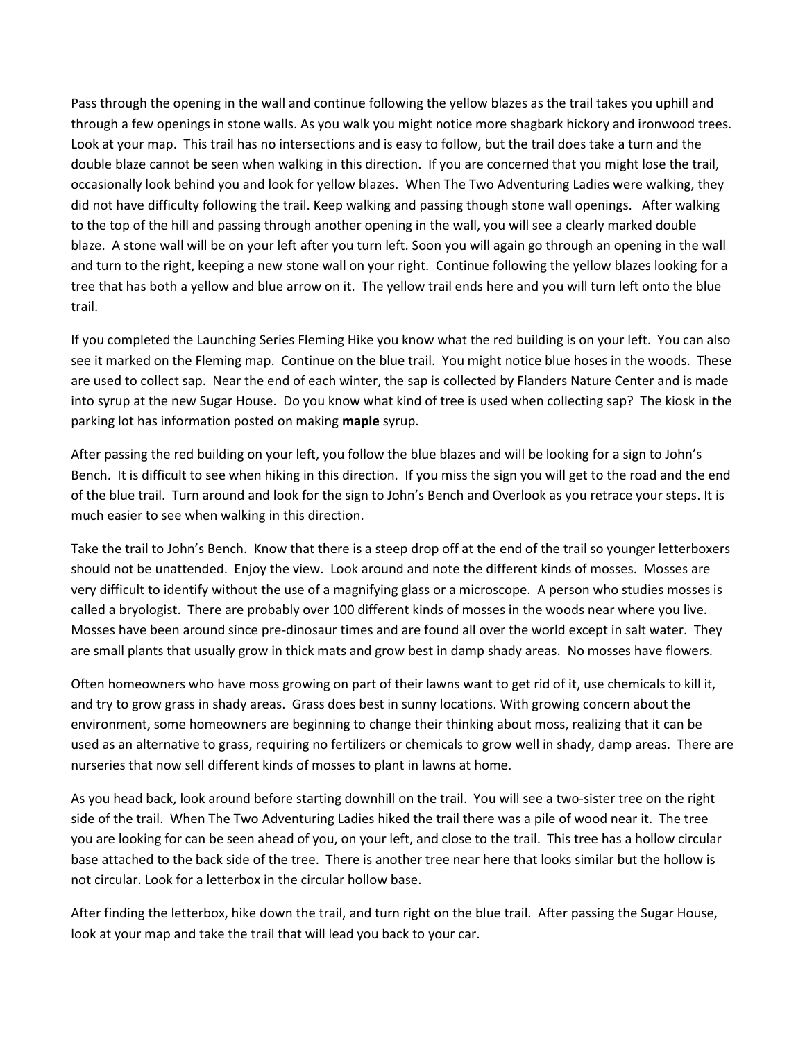Pass through the opening in the wall and continue following the yellow blazes as the trail takes you uphill and through a few openings in stone walls. As you walk you might notice more shagbark hickory and ironwood trees. Look at your map. This trail has no intersections and is easy to follow, but the trail does take a turn and the double blaze cannot be seen when walking in this direction. If you are concerned that you might lose the trail, occasionally look behind you and look for yellow blazes. When The Two Adventuring Ladies were walking, they did not have difficulty following the trail. Keep walking and passing though stone wall openings. After walking to the top of the hill and passing through another opening in the wall, you will see a clearly marked double blaze. A stone wall will be on your left after you turn left. Soon you will again go through an opening in the wall and turn to the right, keeping a new stone wall on your right. Continue following the yellow blazes looking for a tree that has both a yellow and blue arrow on it. The yellow trail ends here and you will turn left onto the blue trail.

If you completed the Launching Series Fleming Hike you know what the red building is on your left. You can also see it marked on the Fleming map. Continue on the blue trail. You might notice blue hoses in the woods. These are used to collect sap. Near the end of each winter, the sap is collected by Flanders Nature Center and is made into syrup at the new Sugar House. Do you know what kind of tree is used when collecting sap? The kiosk in the parking lot has information posted on making **maple** syrup.

After passing the red building on your left, you follow the blue blazes and will be looking for a sign to John's Bench. It is difficult to see when hiking in this direction. If you miss the sign you will get to the road and the end of the blue trail. Turn around and look for the sign to John's Bench and Overlook as you retrace your steps. It is much easier to see when walking in this direction.

Take the trail to John's Bench. Know that there is a steep drop off at the end of the trail so younger letterboxers should not be unattended. Enjoy the view. Look around and note the different kinds of mosses. Mosses are very difficult to identify without the use of a magnifying glass or a microscope. A person who studies mosses is called a bryologist. There are probably over 100 different kinds of mosses in the woods near where you live. Mosses have been around since pre-dinosaur times and are found all over the world except in salt water. They are small plants that usually grow in thick mats and grow best in damp shady areas. No mosses have flowers.

Often homeowners who have moss growing on part of their lawns want to get rid of it, use chemicals to kill it, and try to grow grass in shady areas. Grass does best in sunny locations. With growing concern about the environment, some homeowners are beginning to change their thinking about moss, realizing that it can be used as an alternative to grass, requiring no fertilizers or chemicals to grow well in shady, damp areas. There are nurseries that now sell different kinds of mosses to plant in lawns at home.

As you head back, look around before starting downhill on the trail. You will see a two-sister tree on the right side of the trail. When The Two Adventuring Ladies hiked the trail there was a pile of wood near it. The tree you are looking for can be seen ahead of you, on your left, and close to the trail. This tree has a hollow circular base attached to the back side of the tree. There is another tree near here that looks similar but the hollow is not circular. Look for a letterbox in the circular hollow base.

After finding the letterbox, hike down the trail, and turn right on the blue trail. After passing the Sugar House, look at your map and take the trail that will lead you back to your car.